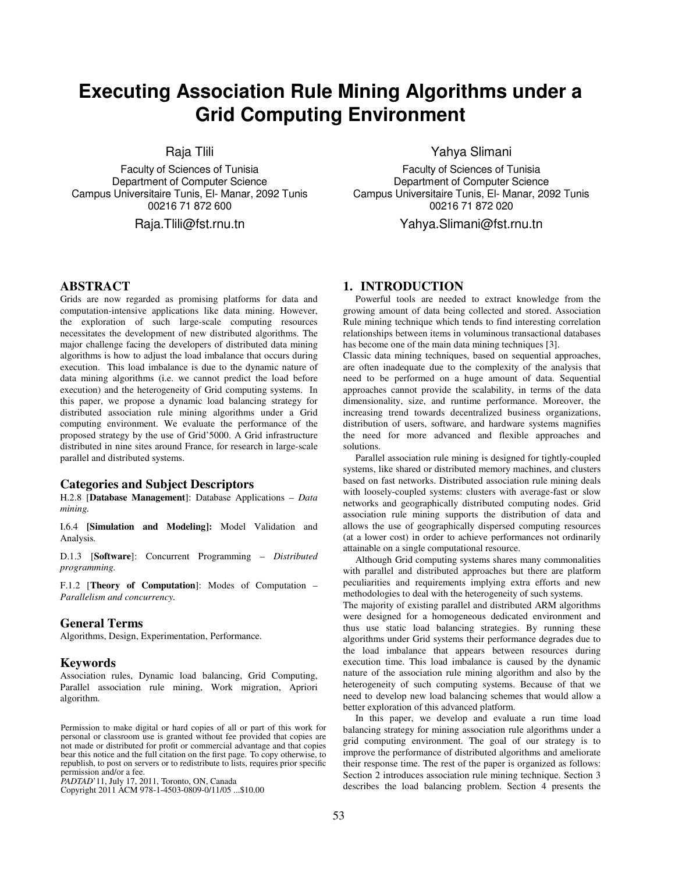# **Executing Association Rule Mining Algorithms under a Grid Computing Environment**

Raja Tlili

Faculty of Sciences of Tunisia Department of Computer Science Campus Universitaire Tunis, El- Manar, 2092 Tunis 00216 71 872 600

Raja.Tlili@fst.rnu.tn

# **ABSTRACT**

Grids are now regarded as promising platforms for data and computation-intensive applications like data mining. However, the exploration of such large-scale computing resources necessitates the development of new distributed algorithms. The major challenge facing the developers of distributed data mining algorithms is how to adjust the load imbalance that occurs during execution. This load imbalance is due to the dynamic nature of data mining algorithms (i.e. we cannot predict the load before execution) and the heterogeneity of Grid computing systems. In this paper, we propose a dynamic load balancing strategy for distributed association rule mining algorithms under a Grid computing environment. We evaluate the performance of the proposed strategy by the use of Grid'5000. A Grid infrastructure distributed in nine sites around France, for research in large-scale parallel and distributed systems.

#### **Categories and Subject Descriptors**

H.2.8 [**Database Management**]: Database Applications – *Data mining.* 

I.6.4 **[Simulation and Modeling]:** Model Validation and Analysis*.* 

D.1.3 [**Software**]: Concurrent Programming – *Distributed programming.* 

F.1.2 [**Theory of Computation**]: Modes of Computation – *Parallelism and concurrency.* 

## **General Terms**

Algorithms, Design, Experimentation, Performance.

#### **Keywords**

Association rules, Dynamic load balancing, Grid Computing, Parallel association rule mining, Work migration, Apriori algorithm.

Copyright 2011 ACM 978-1-4503-0809-0/11/07... \$10.00. Copyright 2011 ACM 978-1-4503-0809-0/11/05 ...\$10.00

Yahya Slimani

Faculty of Sciences of Tunisia Department of Computer Science Campus Universitaire Tunis, El- Manar, 2092 Tunis 00216 71 872 020

Yahya.Slimani@fst.rnu.tn

# **1. INTRODUCTION**

Powerful tools are needed to extract knowledge from the growing amount of data being collected and stored. Association Rule mining technique which tends to find interesting correlation relationships between items in voluminous transactional databases has become one of the main data mining techniques [3].

Classic data mining techniques, based on sequential approaches, are often inadequate due to the complexity of the analysis that need to be performed on a huge amount of data. Sequential approaches cannot provide the scalability, in terms of the data dimensionality, size, and runtime performance. Moreover, the increasing trend towards decentralized business organizations, distribution of users, software, and hardware systems magnifies the need for more advanced and flexible approaches and solutions.

Parallel association rule mining is designed for tightly-coupled systems, like shared or distributed memory machines, and clusters based on fast networks. Distributed association rule mining deals with loosely-coupled systems: clusters with average-fast or slow networks and geographically distributed computing nodes. Grid association rule mining supports the distribution of data and allows the use of geographically dispersed computing resources (at a lower cost) in order to achieve performances not ordinarily attainable on a single computational resource.

Although Grid computing systems shares many commonalities with parallel and distributed approaches but there are platform peculiarities and requirements implying extra efforts and new methodologies to deal with the heterogeneity of such systems.

The majority of existing parallel and distributed ARM algorithms were designed for a homogeneous dedicated environment and thus use static load balancing strategies. By running these algorithms under Grid systems their performance degrades due to the load imbalance that appears between resources during execution time. This load imbalance is caused by the dynamic nature of the association rule mining algorithm and also by the heterogeneity of such computing systems. Because of that we need to develop new load balancing schemes that would allow a better exploration of this advanced platform.

In this paper, we develop and evaluate a run time load balancing strategy for mining association rule algorithms under a grid computing environment. The goal of our strategy is to improve the performance of distributed algorithms and ameliorate their response time. The rest of the paper is organized as follows: Section 2 introduces association rule mining technique. Section 3 describes the load balancing problem. Section 4 presents the

Permission to make digital or hard copies of all or part of this work for personal or classroom use is granted without fee provided that copies are not made or distributed for profit or commercial advantage and that copies bear this notice and the full citation on the first page. To copy otherwise, to republish, to post on servers or to redistribute to lists, requires prior specific *PADTAD*'11, July 17, 2011, Toronto, ON, Canada.

permission and/or a fee. *PADTAD*'11, July 17, 2011, Toronto, ON, Canada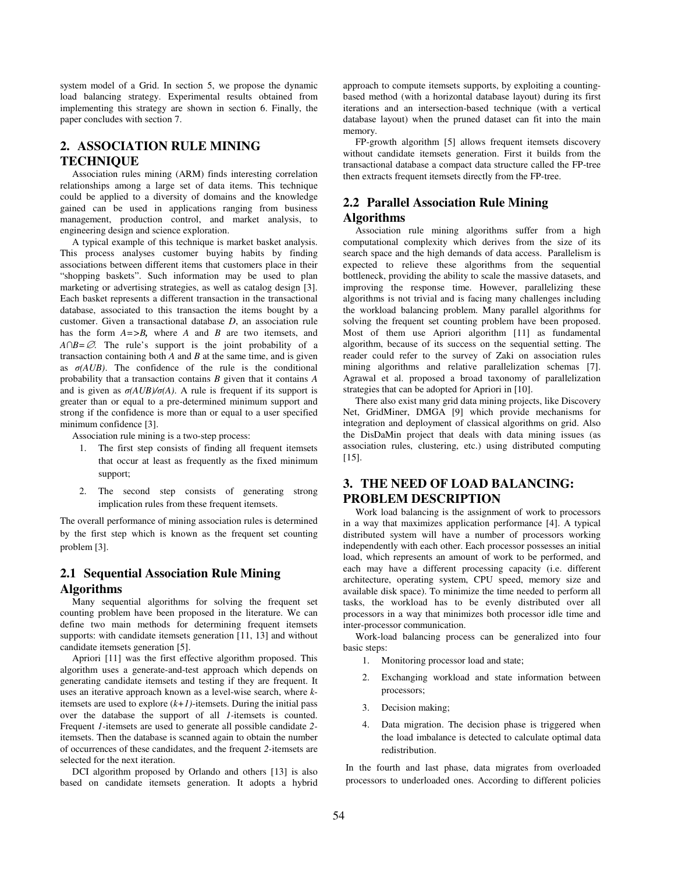system model of a Grid. In section 5, we propose the dynamic load balancing strategy. Experimental results obtained from implementing this strategy are shown in section 6. Finally, the paper concludes with section 7.

# **2. ASSOCIATION RULE MINING TECHNIQUE**

Association rules mining (ARM) finds interesting correlation relationships among a large set of data items. This technique could be applied to a diversity of domains and the knowledge gained can be used in applications ranging from business management, production control, and market analysis, to engineering design and science exploration.

A typical example of this technique is market basket analysis. This process analyses customer buying habits by finding associations between different items that customers place in their "shopping baskets". Such information may be used to plan marketing or advertising strategies, as well as catalog design [3]. Each basket represents a different transaction in the transactional database, associated to this transaction the items bought by a customer. Given a transactional database *D*, an association rule has the form *A=>B,* where *A* and *B* are two itemsets, and *A*∩*B*=∅. The rule's support is the joint probability of a transaction containing both *A* and *B* at the same time, and is given as  $\sigma(AUB)$ . The confidence of the rule is the conditional probability that a transaction contains *B* given that it contains *A* and is given as  $\sigma(AUB)/\sigma(A)$ . A rule is frequent if its support is greater than or equal to a pre-determined minimum support and strong if the confidence is more than or equal to a user specified minimum confidence [3].

Association rule mining is a two-step process:

- 1. The first step consists of finding all frequent itemsets that occur at least as frequently as the fixed minimum support;
- 2. The second step consists of generating strong implication rules from these frequent itemsets.

The overall performance of mining association rules is determined by the first step which is known as the frequent set counting problem [3].

# **2.1 Sequential Association Rule Mining Algorithms**

Many sequential algorithms for solving the frequent set counting problem have been proposed in the literature. We can define two main methods for determining frequent itemsets supports: with candidate itemsets generation [11, 13] and without candidate itemsets generation [5].

Apriori [11] was the first effective algorithm proposed. This algorithm uses a generate-and-test approach which depends on generating candidate itemsets and testing if they are frequent. It uses an iterative approach known as a level-wise search, where *k*itemsets are used to explore  $(k+1)$ -itemsets. During the initial pass over the database the support of all *1-*itemsets is counted. Frequent *1-*itemsets are used to generate all possible candidate *2* itemsets. Then the database is scanned again to obtain the number of occurrences of these candidates, and the frequent *2-*itemsets are selected for the next iteration.

DCI algorithm proposed by Orlando and others [13] is also based on candidate itemsets generation. It adopts a hybrid

approach to compute itemsets supports, by exploiting a countingbased method (with a horizontal database layout) during its first iterations and an intersection-based technique (with a vertical database layout) when the pruned dataset can fit into the main memory.

FP-growth algorithm [5] allows frequent itemsets discovery without candidate itemsets generation. First it builds from the transactional database a compact data structure called the FP-tree then extracts frequent itemsets directly from the FP-tree.

# **2.2 Parallel Association Rule Mining Algorithms**

Association rule mining algorithms suffer from a high computational complexity which derives from the size of its search space and the high demands of data access. Parallelism is expected to relieve these algorithms from the sequential bottleneck, providing the ability to scale the massive datasets, and improving the response time. However, parallelizing these algorithms is not trivial and is facing many challenges including the workload balancing problem. Many parallel algorithms for solving the frequent set counting problem have been proposed. Most of them use Apriori algorithm [11] as fundamental algorithm, because of its success on the sequential setting. The reader could refer to the survey of Zaki on association rules mining algorithms and relative parallelization schemas [7]. Agrawal et al. proposed a broad taxonomy of parallelization strategies that can be adopted for Apriori in [10].

There also exist many grid data mining projects, like Discovery Net, GridMiner, DMGA [9] which provide mechanisms for integration and deployment of classical algorithms on grid. Also the DisDaMin project that deals with data mining issues (as association rules, clustering, etc.) using distributed computing [15].

# **3. THE NEED OF LOAD BALANCING: PROBLEM DESCRIPTION**

Work load balancing is the assignment of work to processors in a way that maximizes application performance [4]. A typical distributed system will have a number of processors working independently with each other. Each processor possesses an initial load, which represents an amount of work to be performed, and each may have a different processing capacity (i.e. different architecture, operating system, CPU speed, memory size and available disk space). To minimize the time needed to perform all tasks, the workload has to be evenly distributed over all processors in a way that minimizes both processor idle time and inter-processor communication.

Work-load balancing process can be generalized into four basic steps:

- 1. Monitoring processor load and state;
- 2. Exchanging workload and state information between processors;
- 3. Decision making;
- 4. Data migration. The decision phase is triggered when the load imbalance is detected to calculate optimal data redistribution.

In the fourth and last phase, data migrates from overloaded processors to underloaded ones. According to different policies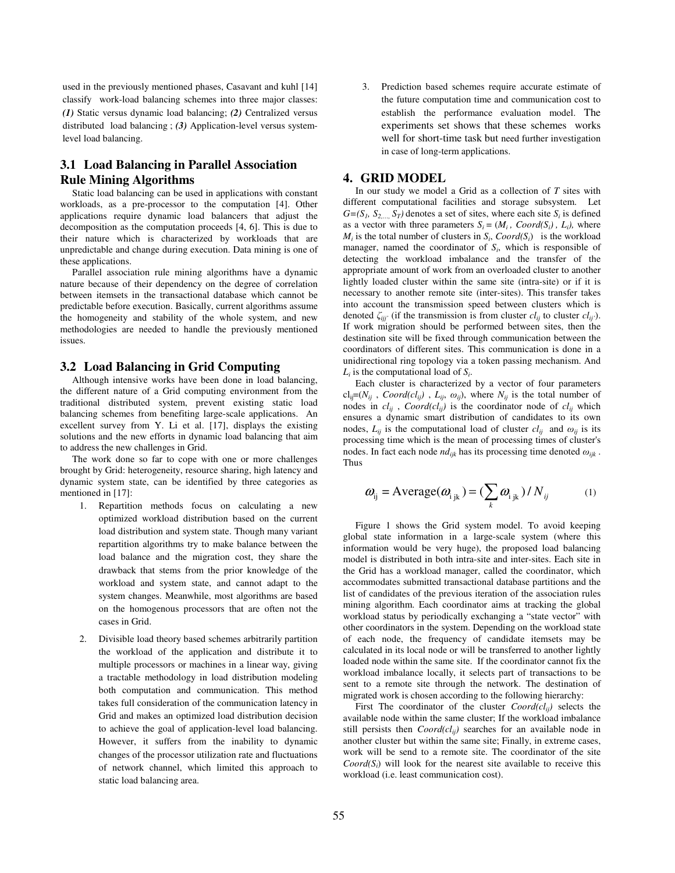used in the previously mentioned phases, Casavant and kuhl [14] classify work-load balancing schemes into three major classes: *(1)* Static versus dynamic load balancing; *(2)* Centralized versus distributed load balancing ; *(3)* Application-level versus systemlevel load balancing.

# **3.1 Load Balancing in Parallel Association Rule Mining Algorithms**

Static load balancing can be used in applications with constant workloads, as a pre-processor to the computation [4]. Other applications require dynamic load balancers that adjust the decomposition as the computation proceeds [4, 6]. This is due to their nature which is characterized by workloads that are unpredictable and change during execution. Data mining is one of these applications.

Parallel association rule mining algorithms have a dynamic nature because of their dependency on the degree of correlation between itemsets in the transactional database which cannot be predictable before execution. Basically, current algorithms assume the homogeneity and stability of the whole system, and new methodologies are needed to handle the previously mentioned issues.

#### **3.2 Load Balancing in Grid Computing**

Although intensive works have been done in load balancing, the different nature of a Grid computing environment from the traditional distributed system, prevent existing static load balancing schemes from benefiting large-scale applications. An excellent survey from Y. Li et al. [17], displays the existing solutions and the new efforts in dynamic load balancing that aim to address the new challenges in Grid.

The work done so far to cope with one or more challenges brought by Grid: heterogeneity, resource sharing, high latency and dynamic system state, can be identified by three categories as mentioned in [17]:

- 1. Repartition methods focus on calculating a new optimized workload distribution based on the current load distribution and system state. Though many variant repartition algorithms try to make balance between the load balance and the migration cost, they share the drawback that stems from the prior knowledge of the workload and system state, and cannot adapt to the system changes. Meanwhile, most algorithms are based on the homogenous processors that are often not the cases in Grid.
- 2. Divisible load theory based schemes arbitrarily partition the workload of the application and distribute it to multiple processors or machines in a linear way, giving a tractable methodology in load distribution modeling both computation and communication. This method takes full consideration of the communication latency in Grid and makes an optimized load distribution decision to achieve the goal of application-level load balancing. However, it suffers from the inability to dynamic changes of the processor utilization rate and fluctuations of network channel, which limited this approach to static load balancing area.

3. Prediction based schemes require accurate estimate of the future computation time and communication cost to establish the performance evaluation model. The experiments set shows that these schemes works well for short-time task but need further investigation in case of long-term applications.

#### **4. GRID MODEL**

In our study we model a Grid as a collection of *T* sites with different computational facilities and storage subsystem. Let  $G=(S_1, S_2,..., S_T)$  denotes a set of sites, where each site  $S_i$  is defined as a vector with three parameters  $S_i = (M_i, \text{Coord}(S_i), L_i)$ , where  $M_i$  is the total number of clusters in  $S_i$ ,  $Coord(S_i)$  is the workload manager, named the coordinator of *S<sup>i</sup>* , which is responsible of detecting the workload imbalance and the transfer of the appropriate amount of work from an overloaded cluster to another lightly loaded cluster within the same site (intra-site) or if it is necessary to another remote site (inter-sites). This transfer takes into account the transmission speed between clusters which is denoted  $\zeta_{ijj'}$  (if the transmission is from cluster  $cl_{ij}$  to cluster  $cl_{ij'}$ ). If work migration should be performed between sites, then the destination site will be fixed through communication between the coordinators of different sites. This communication is done in a unidirectional ring topology via a token passing mechanism. And *Li* is the computational load of *S<sup>i</sup>* .

Each cluster is characterized by a vector of four parameters  $cl_{ij} = (N_{ij} \cdot \text{Coord}(cl_{ij}) \cdot L_{ij}, \omega_{ij})$ , where  $N_{ij}$  is the total number of nodes in  $cl_{ij}$ ,  $Coord(cl_{ij})$  is the coordinator node of  $cl_{ij}$  which ensures a dynamic smart distribution of candidates to its own nodes,  $L_{ij}$  is the computational load of cluster  $cl_{ij}$  and  $\omega_{ij}$  is its processing time which is the mean of processing times of cluster's nodes. In fact each node  $nd_{ijk}$  has its processing time denoted  $\omega_{ijk}$ . Thus

$$
\boldsymbol{\omega}_{ij} = \text{Average}(\boldsymbol{\omega}_{i\,jk}) = (\sum_{k} \boldsymbol{\omega}_{i\,jk}) / N_{ij} \tag{1}
$$

Figure 1 shows the Grid system model. To avoid keeping global state information in a large-scale system (where this information would be very huge), the proposed load balancing model is distributed in both intra-site and inter-sites. Each site in the Grid has a workload manager, called the coordinator, which accommodates submitted transactional database partitions and the list of candidates of the previous iteration of the association rules mining algorithm. Each coordinator aims at tracking the global workload status by periodically exchanging a "state vector" with other coordinators in the system. Depending on the workload state of each node, the frequency of candidate itemsets may be calculated in its local node or will be transferred to another lightly loaded node within the same site. If the coordinator cannot fix the workload imbalance locally, it selects part of transactions to be sent to a remote site through the network. The destination of migrated work is chosen according to the following hierarchy:

First The coordinator of the cluster *Coord(clij)* selects the available node within the same cluster; If the workload imbalance still persists then *Coord(clij)* searches for an available node in another cluster but within the same site; Finally, in extreme cases, work will be send to a remote site. The coordinator of the site  $Coord(S_i)$  will look for the nearest site available to receive this workload (i.e. least communication cost).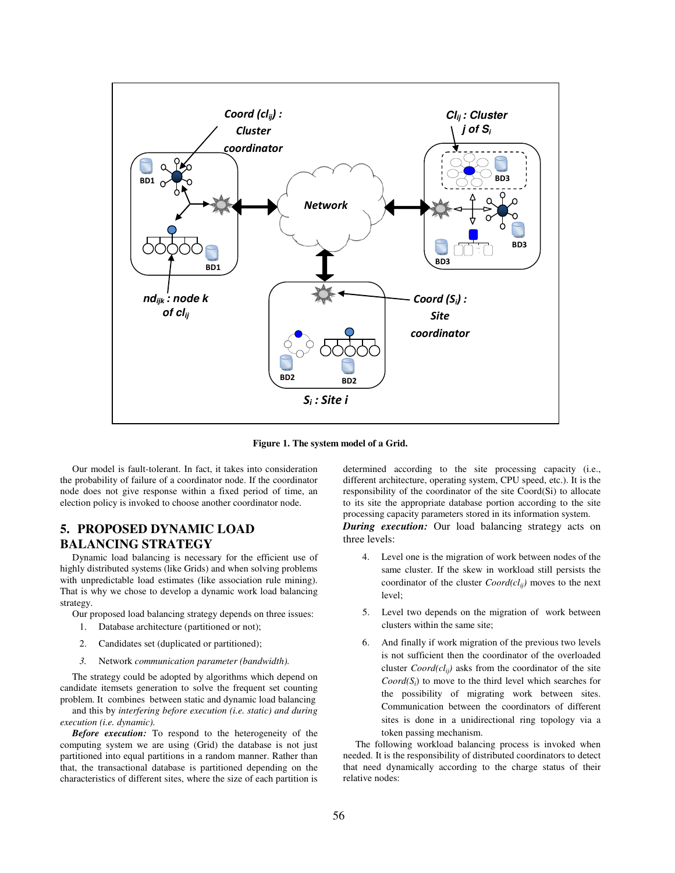

**Figure 1. The system model of a Grid.** 

Our model is fault-tolerant. In fact, it takes into consideration the probability of failure of a coordinator node. If the coordinator node does not give response within a fixed period of time, an election policy is invoked to choose another coordinator node.

# **5. PROPOSED DYNAMIC LOAD BALANCING STRATEGY**

Dynamic load balancing is necessary for the efficient use of highly distributed systems (like Grids) and when solving problems with unpredictable load estimates (like association rule mining). That is why we chose to develop a dynamic work load balancing strategy.

Our proposed load balancing strategy depends on three issues:

- 1. Database architecture (partitioned or not);
- 2. Candidates set (duplicated or partitioned);
- *3.* Network *communication parameter (bandwidth).*

The strategy could be adopted by algorithms which depend on candidate itemsets generation to solve the frequent set counting problem. It combines between static and dynamic load balancing

and this by *interfering before execution (i.e. static) and during execution (i.e. dynamic).* 

*Before execution:* To respond to the heterogeneity of the computing system we are using (Grid) the database is not just partitioned into equal partitions in a random manner. Rather than that, the transactional database is partitioned depending on the characteristics of different sites, where the size of each partition is determined according to the site processing capacity (i.e., different architecture, operating system, CPU speed, etc.). It is the responsibility of the coordinator of the site Coord(Si) to allocate to its site the appropriate database portion according to the site processing capacity parameters stored in its information system.

*During execution:* Our load balancing strategy acts on three levels:

- 4. Level one is the migration of work between nodes of the same cluster. If the skew in workload still persists the coordinator of the cluster *Coord(clij)* moves to the next level;
- 5. Level two depends on the migration of work between clusters within the same site;
- 6. And finally if work migration of the previous two levels is not sufficient then the coordinator of the overloaded cluster *Coord(clij)* asks from the coordinator of the site  $Coord(S_i)$  to move to the third level which searches for the possibility of migrating work between sites. Communication between the coordinators of different sites is done in a unidirectional ring topology via a token passing mechanism.

The following workload balancing process is invoked when needed. It is the responsibility of distributed coordinators to detect that need dynamically according to the charge status of their relative nodes: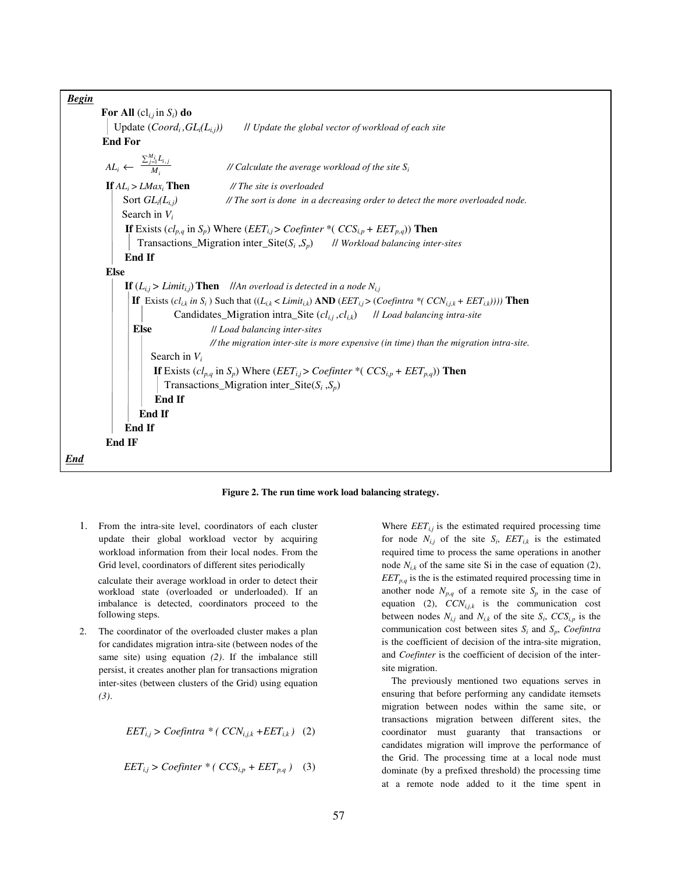

**Figure 2. The run time work load balancing strategy.** 

1. From the intra-site level, coordinators of each cluster update their global workload vector by acquiring workload information from their local nodes. From the Grid level, coordinators of different sites periodically

calculate their average workload in order to detect their workload state (overloaded or underloaded). If an imbalance is detected, coordinators proceed to the following steps.

2. The coordinator of the overloaded cluster makes a plan for candidates migration intra-site (between nodes of the same site) using equation *(2)*. If the imbalance still persist, it creates another plan for transactions migration inter-sites (between clusters of the Grid) using equation *(3)*.

$$
EET_{i,j} > Coefintra * (CCN_{i,j,k} + EET_{i,k})
$$
 (2)

$$
EET_{i,j} > Coefinter * (CCS_{i,p} + EET_{p,q})
$$
 (3)

Where  $EET_{i,j}$  is the estimated required processing time for node  $N_{i,j}$  of the site  $S_i$ ,  $EET_{i,k}$  is the estimated required time to process the same operations in another node  $N_{ik}$  of the same site Si in the case of equation (2),  $EET_{p,q}$  is the is the estimated required processing time in another node  $N_{p,q}$  of a remote site  $S_p$  in the case of equation (2),  $CCN_{i,j,k}$  is the communication cost between nodes  $N_{i,j}$  and  $N_{i,k}$  of the site  $S_i$ ,  $CCS_{i,p}$  is the communication cost between sites  $S_i$  and  $S_p$ , *Coefintra* is the coefficient of decision of the intra-site migration, and *Coefinter* is the coefficient of decision of the intersite migration.

 The previously mentioned two equations serves in ensuring that before performing any candidate itemsets migration between nodes within the same site, or transactions migration between different sites, the coordinator must guaranty that transactions or candidates migration will improve the performance of the Grid. The processing time at a local node must dominate (by a prefixed threshold) the processing time at a remote node added to it the time spent in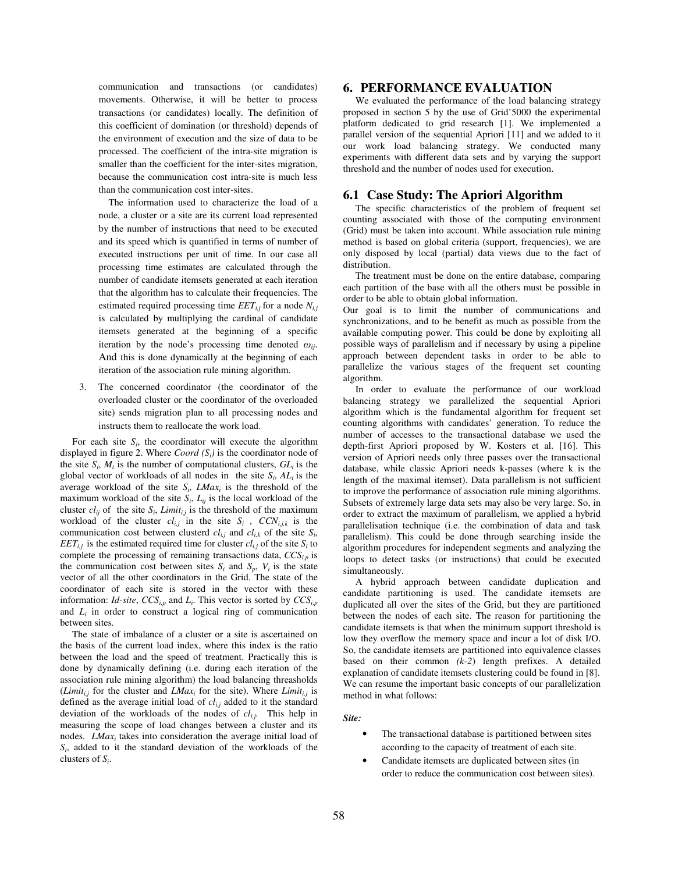communication and transactions (or candidates) movements. Otherwise, it will be better to process transactions (or candidates) locally. The definition of this coefficient of domination (or threshold) depends of the environment of execution and the size of data to be processed. The coefficient of the intra-site migration is smaller than the coefficient for the inter-sites migration, because the communication cost intra-site is much less than the communication cost inter-sites.

 The information used to characterize the load of a node, a cluster or a site are its current load represented by the number of instructions that need to be executed and its speed which is quantified in terms of number of executed instructions per unit of time. In our case all processing time estimates are calculated through the number of candidate itemsets generated at each iteration that the algorithm has to calculate their frequencies. The estimated required processing time  $EET_{i,j}$  for a node  $N_{i,j}$ is calculated by multiplying the cardinal of candidate itemsets generated at the beginning of a specific iteration by the node's processing time denoted  $\omega_{ii}$ . And this is done dynamically at the beginning of each iteration of the association rule mining algorithm.

3. The concerned coordinator (the coordinator of the overloaded cluster or the coordinator of the overloaded site) sends migration plan to all processing nodes and instructs them to reallocate the work load.

For each site  $S_i$ , the coordinator will execute the algorithm displayed in figure 2. Where  $Coord(S_i)$  is the coordinator node of the site  $S_i$ ,  $M_i$  is the number of computational clusters,  $GL_i$  is the global vector of workloads of all nodes in the site  $S_i$ ,  $AL_i$  is the average workload of the site  $S_i$ ,  $LMax_i$  is the threshold of the maximum workload of the site  $S_i$ ,  $L_{ij}$  is the local workload of the cluster  $cl_{ij}$  of the site  $S_i$ , *Limit<sub>i,j</sub>* is the threshold of the maximum workload of the cluster  $cl_{i,j}$  in the site  $S_i$ ,  $CCN_{i,j,k}$  is the communication cost between clusterd  $cl_{i,j}$  and  $cl_{i,k}$  of the site  $S_i$ , *EET*<sub>*i,j*</sub> is the estimated required time for cluster  $cl_{i,j}$  of the site  $S_i$  to complete the processing of remaining transactions data, *CCSi,p* is the communication cost between sites  $S_i$  and  $S_p$ ,  $V_i$  is the state vector of all the other coordinators in the Grid. The state of the coordinator of each site is stored in the vector with these information: *Id-site*, *CCSi,p* and *L<sup>i</sup>* . This vector is sorted by *CCSi,p* and  $L_i$  in order to construct a logical ring of communication between sites.

The state of imbalance of a cluster or a site is ascertained on the basis of the current load index, where this index is the ratio between the load and the speed of treatment. Practically this is done by dynamically defining (i.e. during each iteration of the association rule mining algorithm) the load balancing threasholds (*Limit<sub>i,j</sub>* for the cluster and *LMax<sub>i</sub>* for the site). Where *Limit<sub>i,j</sub>* is defined as the average initial load of *cli,j* added to it the standard deviation of the workloads of the nodes of *cli,j*. This help in measuring the scope of load changes between a cluster and its nodes. *LMax<sup>i</sup>* takes into consideration the average initial load of *Si* , added to it the standard deviation of the workloads of the clusters of *S<sup>i</sup>* .

#### **6. PERFORMANCE EVALUATION**

We evaluated the performance of the load balancing strategy proposed in section 5 by the use of Grid'5000 the experimental platform dedicated to grid research [1]. We implemented a parallel version of the sequential Apriori [11] and we added to it our work load balancing strategy. We conducted many experiments with different data sets and by varying the support threshold and the number of nodes used for execution.

#### **6.1 Case Study: The Apriori Algorithm**

The specific characteristics of the problem of frequent set counting associated with those of the computing environment (Grid) must be taken into account. While association rule mining method is based on global criteria (support, frequencies), we are only disposed by local (partial) data views due to the fact of distribution.

The treatment must be done on the entire database, comparing each partition of the base with all the others must be possible in order to be able to obtain global information.

Our goal is to limit the number of communications and synchronizations, and to be benefit as much as possible from the available computing power. This could be done by exploiting all possible ways of parallelism and if necessary by using a pipeline approach between dependent tasks in order to be able to parallelize the various stages of the frequent set counting algorithm.

In order to evaluate the performance of our workload balancing strategy we parallelized the sequential Apriori algorithm which is the fundamental algorithm for frequent set counting algorithms with candidates' generation. To reduce the number of accesses to the transactional database we used the depth-first Apriori proposed by W. Kosters et al. [16]. This version of Apriori needs only three passes over the transactional database, while classic Apriori needs k-passes (where k is the length of the maximal itemset). Data parallelism is not sufficient to improve the performance of association rule mining algorithms. Subsets of extremely large data sets may also be very large. So, in order to extract the maximum of parallelism, we applied a hybrid parallelisation technique (i.e. the combination of data and task parallelism). This could be done through searching inside the algorithm procedures for independent segments and analyzing the loops to detect tasks (or instructions) that could be executed simultaneously.

A hybrid approach between candidate duplication and candidate partitioning is used. The candidate itemsets are duplicated all over the sites of the Grid, but they are partitioned between the nodes of each site. The reason for partitioning the candidate itemsets is that when the minimum support threshold is low they overflow the memory space and incur a lot of disk I/O. So, the candidate itemsets are partitioned into equivalence classes based on their common *(k-2*) length prefixes. A detailed explanation of candidate itemsets clustering could be found in [8]. We can resume the important basic concepts of our parallelization method in what follows:

*Site:* 

- The transactional database is partitioned between sites according to the capacity of treatment of each site.
- Candidate itemsets are duplicated between sites (in order to reduce the communication cost between sites).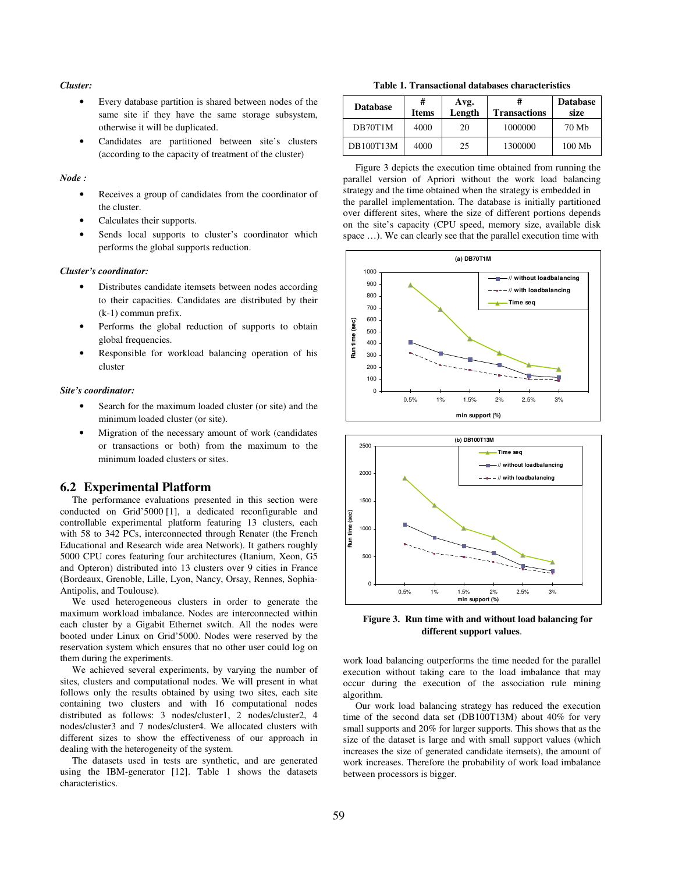#### *Cluster:*

- Every database partition is shared between nodes of the same site if they have the same storage subsystem, otherwise it will be duplicated.
- Candidates are partitioned between site's clusters (according to the capacity of treatment of the cluster)

#### *Node :*

- Receives a group of candidates from the coordinator of the cluster.
- Calculates their supports.
- Sends local supports to cluster's coordinator which performs the global supports reduction.

#### *Cluster's coordinator:*

- Distributes candidate itemsets between nodes according to their capacities. Candidates are distributed by their (k-1) commun prefix.
- Performs the global reduction of supports to obtain global frequencies.
- Responsible for workload balancing operation of his cluster

#### *Site's coordinator:*

- Search for the maximum loaded cluster (or site) and the minimum loaded cluster (or site).
- Migration of the necessary amount of work (candidates or transactions or both) from the maximum to the minimum loaded clusters or sites.

#### **6.2 Experimental Platform**

The performance evaluations presented in this section were conducted on Grid'5000 [1], a dedicated reconfigurable and controllable experimental platform featuring 13 clusters, each with 58 to 342 PCs, interconnected through Renater (the French Educational and Research wide area Network). It gathers roughly 5000 CPU cores featuring four architectures (Itanium, Xeon, G5 and Opteron) distributed into 13 clusters over 9 cities in France (Bordeaux, Grenoble, Lille, Lyon, Nancy, Orsay, Rennes, Sophia-Antipolis, and Toulouse).

We used heterogeneous clusters in order to generate the maximum workload imbalance. Nodes are interconnected within each cluster by a Gigabit Ethernet switch. All the nodes were booted under Linux on Grid'5000. Nodes were reserved by the reservation system which ensures that no other user could log on them during the experiments.

We achieved several experiments, by varying the number of sites, clusters and computational nodes. We will present in what follows only the results obtained by using two sites, each site containing two clusters and with 16 computational nodes distributed as follows: 3 nodes/cluster1, 2 nodes/cluster2, 4 nodes/cluster3 and 7 nodes/cluster4. We allocated clusters with different sizes to show the effectiveness of our approach in dealing with the heterogeneity of the system.

The datasets used in tests are synthetic, and are generated using the IBM-generator [12]. Table 1 shows the datasets characteristics.

**Table 1. Transactional databases characteristics** 

| <b>Database</b> | #<br><b>Items</b> | Avg.<br>Length | <b>Transactions</b> | <b>Database</b><br>size |
|-----------------|-------------------|----------------|---------------------|-------------------------|
| DB70T1M         | 4000              | 20             | 1000000             | 70 Mb                   |
| DB100T13M       | 4000              | 25             | 1300000             | 100 Mb                  |

Figure 3 depicts the execution time obtained from running the parallel version of Apriori without the work load balancing strategy and the time obtained when the strategy is embedded in the parallel implementation. The database is initially partitioned over different sites, where the size of different portions depends on the site's capacity (CPU speed, memory size, available disk space ...). We can clearly see that the parallel execution time with





**Figure 3. Run time with and without load balancing for different support values**.

work load balancing outperforms the time needed for the parallel execution without taking care to the load imbalance that may occur during the execution of the association rule mining algorithm.

Our work load balancing strategy has reduced the execution time of the second data set (DB100T13M) about 40% for very small supports and 20% for larger supports. This shows that as the size of the dataset is large and with small support values (which increases the size of generated candidate itemsets), the amount of work increases. Therefore the probability of work load imbalance between processors is bigger.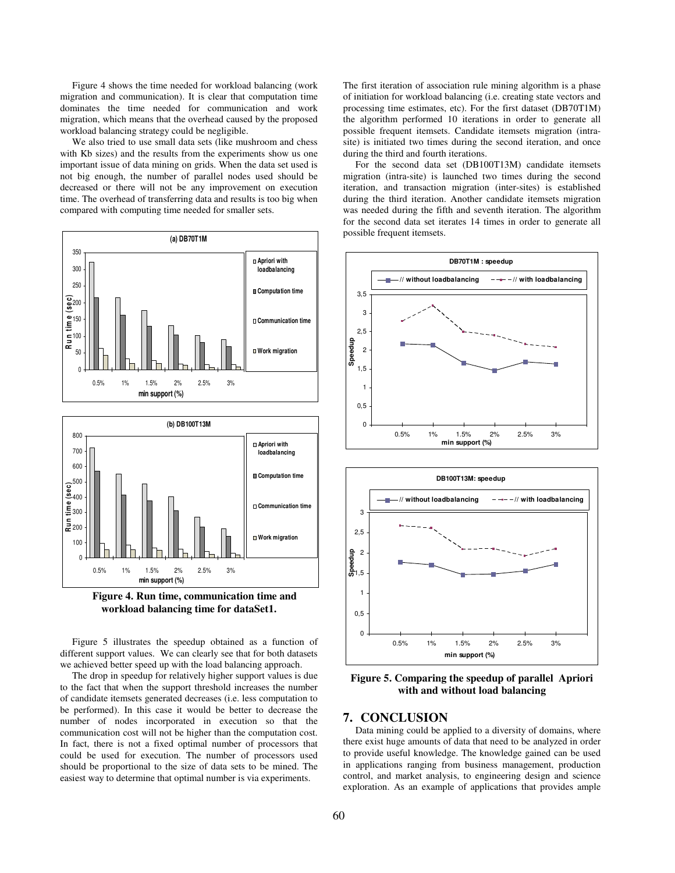Figure 4 shows the time needed for workload balancing (work migration and communication). It is clear that computation time dominates the time needed for communication and work migration, which means that the overhead caused by the proposed workload balancing strategy could be negligible.

We also tried to use small data sets (like mushroom and chess with Kb sizes) and the results from the experiments show us one important issue of data mining on grids. When the data set used is not big enough, the number of parallel nodes used should be decreased or there will not be any improvement on execution time. The overhead of transferring data and results is too big when compared with computing time needed for smaller sets.





Figure 5 illustrates the speedup obtained as a function of different support values. We can clearly see that for both datasets we achieved better speed up with the load balancing approach.

The drop in speedup for relatively higher support values is due to the fact that when the support threshold increases the number of candidate itemsets generated decreases (i.e. less computation to be performed). In this case it would be better to decrease the number of nodes incorporated in execution so that the communication cost will not be higher than the computation cost. In fact, there is not a fixed optimal number of processors that could be used for execution. The number of processors used should be proportional to the size of data sets to be mined. The easiest way to determine that optimal number is via experiments.

The first iteration of association rule mining algorithm is a phase of initiation for workload balancing (i.e. creating state vectors and processing time estimates, etc). For the first dataset (DB70T1M) the algorithm performed 10 iterations in order to generate all possible frequent itemsets. Candidate itemsets migration (intrasite) is initiated two times during the second iteration, and once during the third and fourth iterations.

For the second data set (DB100T13M) candidate itemsets migration (intra-site) is launched two times during the second iteration, and transaction migration (inter-sites) is established during the third iteration. Another candidate itemsets migration was needed during the fifth and seventh iteration. The algorithm for the second data set iterates 14 times in order to generate all possible frequent itemsets.



**Figure 5. Comparing the speedup of parallel Apriori with and without load balancing** 

## **7. CONCLUSION**

Data mining could be applied to a diversity of domains, where there exist huge amounts of data that need to be analyzed in order to provide useful knowledge. The knowledge gained can be used in applications ranging from business management, production control, and market analysis, to engineering design and science exploration. As an example of applications that provides ample